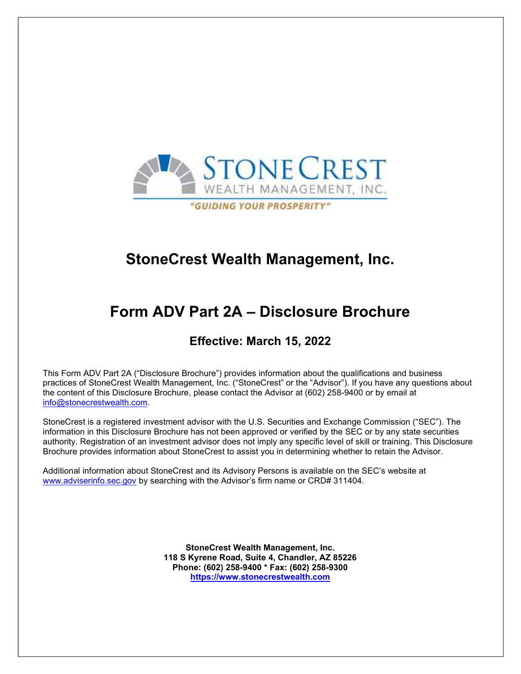

# StoneCrest Wealth Management, Inc.

# Form ADV Part 2A – Disclosure Brochure

# Effective: March 15, 2022

This Form ADV Part 2A ("Disclosure Brochure") provides information about the qualifications and business practices of StoneCrest Wealth Management, Inc. ("StoneCrest" or the "Advisor"). If you have any questions about the content of this Disclosure Brochure, please contact the Advisor at (602) 258-9400 or by email at info@stonecrestwealth.com.

StoneCrest is a registered investment advisor with the U.S. Securities and Exchange Commission ("SEC"). The information in this Disclosure Brochure has not been approved or verified by the SEC or by any state securities authority. Registration of an investment advisor does not imply any specific level of skill or training. This Disclosure Brochure provides information about StoneCrest to assist you in determining whether to retain the Advisor.

Additional information about StoneCrest and its Advisory Persons is available on the SEC's website at www.adviserinfo.sec.gov by searching with the Advisor's firm name or CRD# 311404.

> StoneCrest Wealth Management, Inc. 118 S Kyrene Road, Suite 4, Chandler, AZ 85226 Phone: (602) 258-9400 \* Fax: (602) 258-9300 https://www.stonecrestwealth.com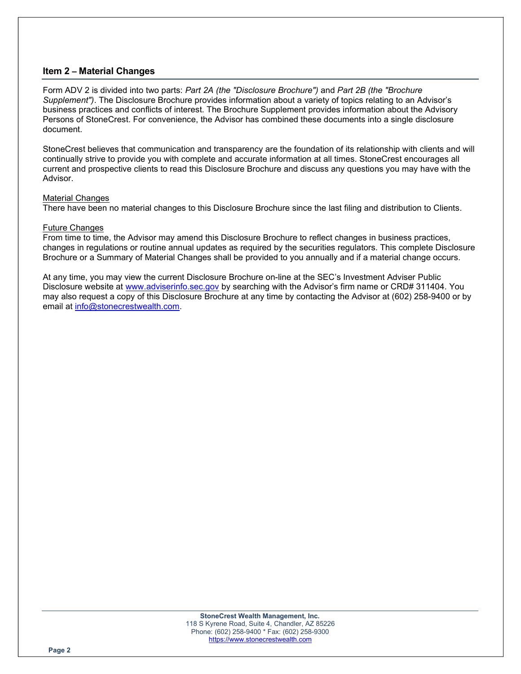# Item 2 – Material Changes

Form ADV 2 is divided into two parts: Part 2A (the "Disclosure Brochure") and Part 2B (the "Brochure Supplement"). The Disclosure Brochure provides information about a variety of topics relating to an Advisor's business practices and conflicts of interest. The Brochure Supplement provides information about the Advisory Persons of StoneCrest. For convenience, the Advisor has combined these documents into a single disclosure document.

StoneCrest believes that communication and transparency are the foundation of its relationship with clients and will continually strive to provide you with complete and accurate information at all times. StoneCrest encourages all current and prospective clients to read this Disclosure Brochure and discuss any questions you may have with the Advisor.

#### Material Changes

There have been no material changes to this Disclosure Brochure since the last filing and distribution to Clients.

#### Future Changes

From time to time, the Advisor may amend this Disclosure Brochure to reflect changes in business practices, changes in regulations or routine annual updates as required by the securities regulators. This complete Disclosure Brochure or a Summary of Material Changes shall be provided to you annually and if a material change occurs.

At any time, you may view the current Disclosure Brochure on-line at the SEC's Investment Adviser Public Disclosure website at www.adviserinfo.sec.gov by searching with the Advisor's firm name or CRD# 311404. You may also request a copy of this Disclosure Brochure at any time by contacting the Advisor at (602) 258-9400 or by email at info@stonecrestwealth.com.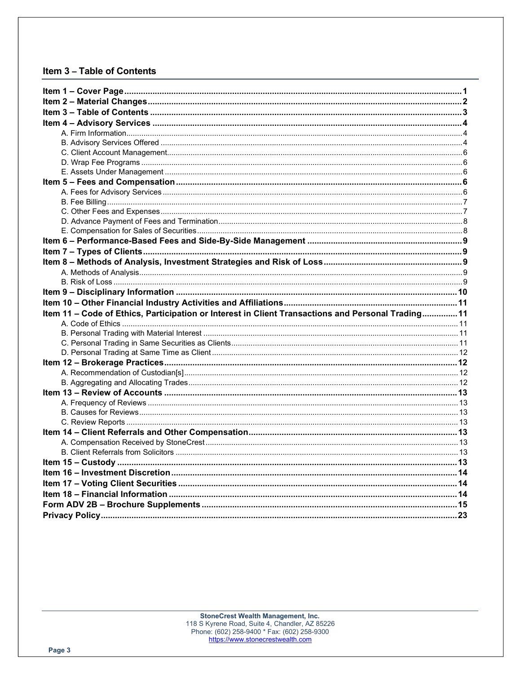# Item 3 - Table of Contents

| Item 11 - Code of Ethics, Participation or Interest in Client Transactions and Personal Trading 11 |  |
|----------------------------------------------------------------------------------------------------|--|
|                                                                                                    |  |
|                                                                                                    |  |
|                                                                                                    |  |
|                                                                                                    |  |
|                                                                                                    |  |
|                                                                                                    |  |
|                                                                                                    |  |
|                                                                                                    |  |
|                                                                                                    |  |
|                                                                                                    |  |
|                                                                                                    |  |
|                                                                                                    |  |
|                                                                                                    |  |
|                                                                                                    |  |
|                                                                                                    |  |
|                                                                                                    |  |
|                                                                                                    |  |
|                                                                                                    |  |
|                                                                                                    |  |
|                                                                                                    |  |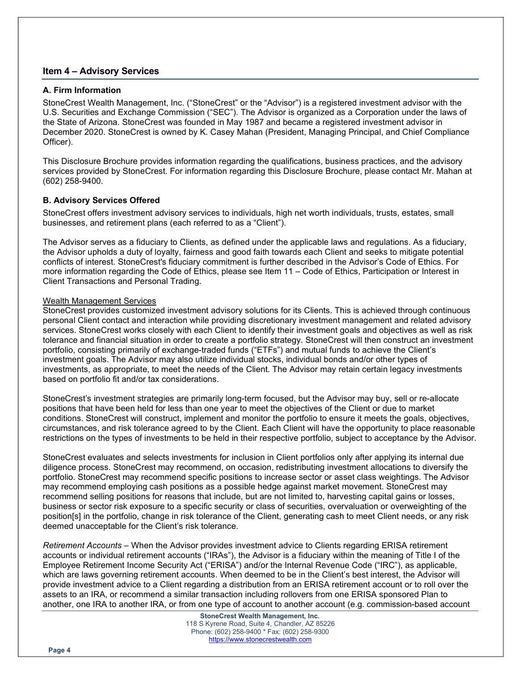# Item 4 – Advisory Services

### A. Firm Information

StoneCrest Wealth Management, Inc. ("StoneCrest" or the "Advisor") is a registered investment advisor with the U.S. Securities and Exchange Commission ("SEC"). The Advisor is organized as a Corporation under the laws of the State of Arizona. StoneCrest was founded in May 1987 and became a registered investment advisor in December 2020. StoneCrest is owned by K. Casey Mahan (President, Managing Principal, and Chief Compliance Officer).

This Disclosure Brochure provides information regarding the qualifications, business practices, and the advisory services provided by StoneCrest. For information regarding this Disclosure Brochure, please contact Mr. Mahan at (602) 258-9400.

#### B. Advisory Services Offered

StoneCrest offers investment advisory services to individuals, high net worth individuals, trusts, estates, small businesses, and retirement plans (each referred to as a "Client").

The Advisor serves as a fiduciary to Clients, as defined under the applicable laws and regulations. As a fiduciary, the Advisor upholds a duty of loyalty, fairness and good faith towards each Client and seeks to mitigate potential conflicts of interest. StoneCrest's fiduciary commitment is further described in the Advisor's Code of Ethics. For more information regarding the Code of Ethics, please see Item 11 – Code of Ethics, Participation or Interest in Client Transactions and Personal Trading.

#### Wealth Management Services

StoneCrest provides customized investment advisory solutions for its Clients. This is achieved through continuous personal Client contact and interaction while providing discretionary investment management and related advisory services. StoneCrest works closely with each Client to identify their investment goals and objectives as well as risk tolerance and financial situation in order to create a portfolio strategy. StoneCrest will then construct an investment portfolio, consisting primarily of exchange-traded funds ("ETFs") and mutual funds to achieve the Client's investment goals. The Advisor may also utilize individual stocks, individual bonds and/or other types of investments, as appropriate, to meet the needs of the Client. The Advisor may retain certain legacy investments based on portfolio fit and/or tax considerations.

StoneCrest's investment strategies are primarily long-term focused, but the Advisor may buy, sell or re-allocate positions that have been held for less than one year to meet the objectives of the Client or due to market conditions. StoneCrest will construct, implement and monitor the portfolio to ensure it meets the goals, objectives, circumstances, and risk tolerance agreed to by the Client. Each Client will have the opportunity to place reasonable restrictions on the types of investments to be held in their respective portfolio, subject to acceptance by the Advisor.

StoneCrest evaluates and selects investments for inclusion in Client portfolios only after applying its internal due diligence process. StoneCrest may recommend, on occasion, redistributing investment allocations to diversify the portfolio. StoneCrest may recommend specific positions to increase sector or asset class weightings. The Advisor may recommend employing cash positions as a possible hedge against market movement. StoneCrest may recommend selling positions for reasons that include, but are not limited to, harvesting capital gains or losses, business or sector risk exposure to a specific security or class of securities, overvaluation or overweighting of the position[s] in the portfolio, change in risk tolerance of the Client, generating cash to meet Client needs, or any risk deemed unacceptable for the Client's risk tolerance.

Retirement Accounts – When the Advisor provides investment advice to Clients regarding ERISA retirement accounts or individual retirement accounts ("IRAs"), the Advisor is a fiduciary within the meaning of Title I of the Employee Retirement Income Security Act ("ERISA") and/or the Internal Revenue Code ("IRC"), as applicable, which are laws governing retirement accounts. When deemed to be in the Client's best interest, the Advisor will provide investment advice to a Client regarding a distribution from an ERISA retirement account or to roll over the assets to an IRA, or recommend a similar transaction including rollovers from one ERISA sponsored Plan to another, one IRA to another IRA, or from one type of account to another account (e.g. commission-based account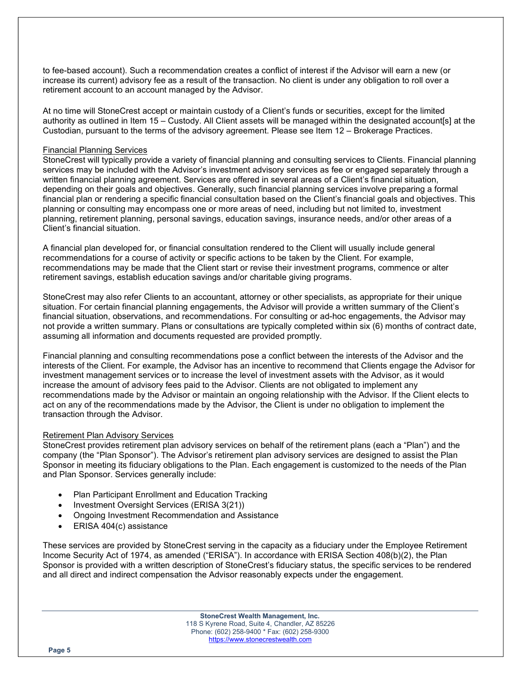to fee-based account). Such a recommendation creates a conflict of interest if the Advisor will earn a new (or increase its current) advisory fee as a result of the transaction. No client is under any obligation to roll over a retirement account to an account managed by the Advisor.

At no time will StoneCrest accept or maintain custody of a Client's funds or securities, except for the limited authority as outlined in Item 15 – Custody. All Client assets will be managed within the designated account[s] at the Custodian, pursuant to the terms of the advisory agreement. Please see Item 12 – Brokerage Practices.

#### Financial Planning Services

StoneCrest will typically provide a variety of financial planning and consulting services to Clients. Financial planning services may be included with the Advisor's investment advisory services as fee or engaged separately through a written financial planning agreement. Services are offered in several areas of a Client's financial situation, depending on their goals and objectives. Generally, such financial planning services involve preparing a formal financial plan or rendering a specific financial consultation based on the Client's financial goals and objectives. This planning or consulting may encompass one or more areas of need, including but not limited to, investment planning, retirement planning, personal savings, education savings, insurance needs, and/or other areas of a Client's financial situation.

A financial plan developed for, or financial consultation rendered to the Client will usually include general recommendations for a course of activity or specific actions to be taken by the Client. For example, recommendations may be made that the Client start or revise their investment programs, commence or alter retirement savings, establish education savings and/or charitable giving programs.

StoneCrest may also refer Clients to an accountant, attorney or other specialists, as appropriate for their unique situation. For certain financial planning engagements, the Advisor will provide a written summary of the Client's financial situation, observations, and recommendations. For consulting or ad-hoc engagements, the Advisor may not provide a written summary. Plans or consultations are typically completed within six (6) months of contract date, assuming all information and documents requested are provided promptly.

Financial planning and consulting recommendations pose a conflict between the interests of the Advisor and the interests of the Client. For example, the Advisor has an incentive to recommend that Clients engage the Advisor for investment management services or to increase the level of investment assets with the Advisor, as it would increase the amount of advisory fees paid to the Advisor. Clients are not obligated to implement any recommendations made by the Advisor or maintain an ongoing relationship with the Advisor. If the Client elects to act on any of the recommendations made by the Advisor, the Client is under no obligation to implement the transaction through the Advisor.

# Retirement Plan Advisory Services

StoneCrest provides retirement plan advisory services on behalf of the retirement plans (each a "Plan") and the company (the "Plan Sponsor"). The Advisor's retirement plan advisory services are designed to assist the Plan Sponsor in meeting its fiduciary obligations to the Plan. Each engagement is customized to the needs of the Plan and Plan Sponsor. Services generally include:

- Plan Participant Enrollment and Education Tracking
- Investment Oversight Services (ERISA 3(21))
- Ongoing Investment Recommendation and Assistance
- ERISA 404(c) assistance

These services are provided by StoneCrest serving in the capacity as a fiduciary under the Employee Retirement Income Security Act of 1974, as amended ("ERISA"). In accordance with ERISA Section 408(b)(2), the Plan Sponsor is provided with a written description of StoneCrest's fiduciary status, the specific services to be rendered and all direct and indirect compensation the Advisor reasonably expects under the engagement.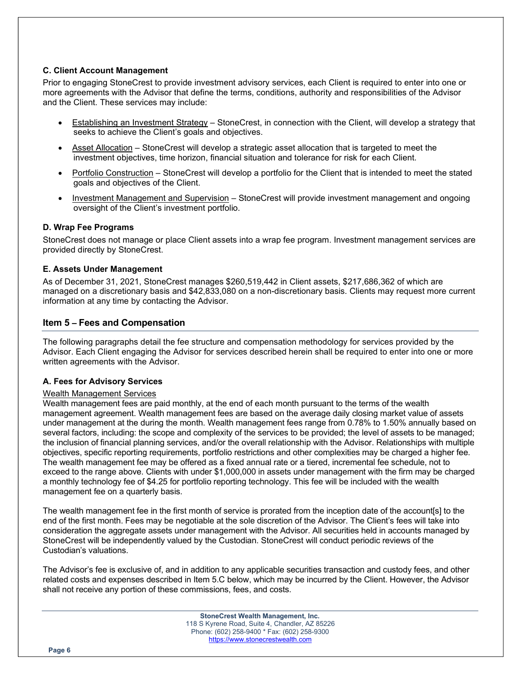# C. Client Account Management

Prior to engaging StoneCrest to provide investment advisory services, each Client is required to enter into one or more agreements with the Advisor that define the terms, conditions, authority and responsibilities of the Advisor and the Client. These services may include:

- Establishing an Investment Strategy StoneCrest, in connection with the Client, will develop a strategy that seeks to achieve the Client's goals and objectives.
- Asset Allocation StoneCrest will develop a strategic asset allocation that is targeted to meet the investment objectives, time horizon, financial situation and tolerance for risk for each Client.
- Portfolio Construction StoneCrest will develop a portfolio for the Client that is intended to meet the stated goals and objectives of the Client.
- Investment Management and Supervision StoneCrest will provide investment management and ongoing oversight of the Client's investment portfolio.

# D. Wrap Fee Programs

StoneCrest does not manage or place Client assets into a wrap fee program. Investment management services are provided directly by StoneCrest.

#### E. Assets Under Management

As of December 31, 2021, StoneCrest manages \$260,519,442 in Client assets, \$217,686,362 of which are managed on a discretionary basis and \$42,833,080 on a non-discretionary basis. Clients may request more current information at any time by contacting the Advisor.

# Item 5 – Fees and Compensation

The following paragraphs detail the fee structure and compensation methodology for services provided by the Advisor. Each Client engaging the Advisor for services described herein shall be required to enter into one or more written agreements with the Advisor.

# A. Fees for Advisory Services

# Wealth Management Services

Wealth management fees are paid monthly, at the end of each month pursuant to the terms of the wealth management agreement. Wealth management fees are based on the average daily closing market value of assets under management at the during the month. Wealth management fees range from 0.78% to 1.50% annually based on several factors, including: the scope and complexity of the services to be provided; the level of assets to be managed; the inclusion of financial planning services, and/or the overall relationship with the Advisor. Relationships with multiple objectives, specific reporting requirements, portfolio restrictions and other complexities may be charged a higher fee. The wealth management fee may be offered as a fixed annual rate or a tiered, incremental fee schedule, not to exceed to the range above. Clients with under \$1,000,000 in assets under management with the firm may be charged a monthly technology fee of \$4.25 for portfolio reporting technology. This fee will be included with the wealth management fee on a quarterly basis.

The wealth management fee in the first month of service is prorated from the inception date of the account[s] to the end of the first month. Fees may be negotiable at the sole discretion of the Advisor. The Client's fees will take into consideration the aggregate assets under management with the Advisor. All securities held in accounts managed by StoneCrest will be independently valued by the Custodian. StoneCrest will conduct periodic reviews of the Custodian's valuations.

The Advisor's fee is exclusive of, and in addition to any applicable securities transaction and custody fees, and other related costs and expenses described in Item 5.C below, which may be incurred by the Client. However, the Advisor shall not receive any portion of these commissions, fees, and costs.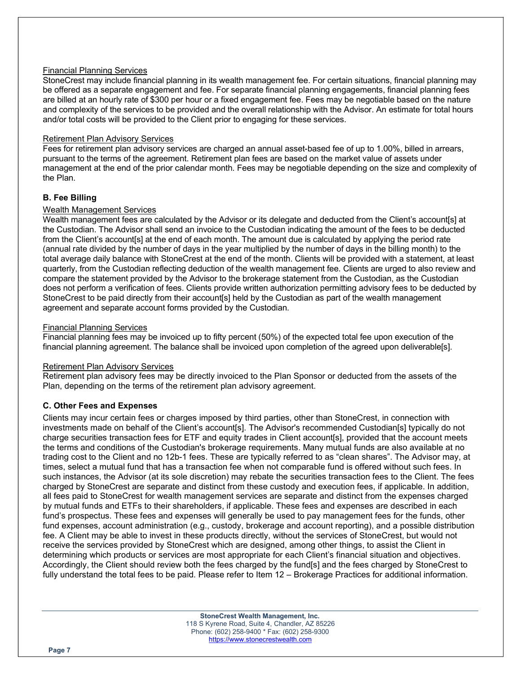### Financial Planning Services

StoneCrest may include financial planning in its wealth management fee. For certain situations, financial planning may be offered as a separate engagement and fee. For separate financial planning engagements, financial planning fees are billed at an hourly rate of \$300 per hour or a fixed engagement fee. Fees may be negotiable based on the nature and complexity of the services to be provided and the overall relationship with the Advisor. An estimate for total hours and/or total costs will be provided to the Client prior to engaging for these services.

#### Retirement Plan Advisory Services

Fees for retirement plan advisory services are charged an annual asset-based fee of up to 1.00%, billed in arrears, pursuant to the terms of the agreement. Retirement plan fees are based on the market value of assets under management at the end of the prior calendar month. Fees may be negotiable depending on the size and complexity of the Plan.

# B. Fee Billing

#### Wealth Management Services

Wealth management fees are calculated by the Advisor or its delegate and deducted from the Client's account[s] at the Custodian. The Advisor shall send an invoice to the Custodian indicating the amount of the fees to be deducted from the Client's account[s] at the end of each month. The amount due is calculated by applying the period rate (annual rate divided by the number of days in the year multiplied by the number of days in the billing month) to the total average daily balance with StoneCrest at the end of the month. Clients will be provided with a statement, at least quarterly, from the Custodian reflecting deduction of the wealth management fee. Clients are urged to also review and compare the statement provided by the Advisor to the brokerage statement from the Custodian, as the Custodian does not perform a verification of fees. Clients provide written authorization permitting advisory fees to be deducted by StoneCrest to be paid directly from their account[s] held by the Custodian as part of the wealth management agreement and separate account forms provided by the Custodian.

#### Financial Planning Services

Financial planning fees may be invoiced up to fifty percent (50%) of the expected total fee upon execution of the financial planning agreement. The balance shall be invoiced upon completion of the agreed upon deliverable[s].

#### Retirement Plan Advisory Services

Retirement plan advisory fees may be directly invoiced to the Plan Sponsor or deducted from the assets of the Plan, depending on the terms of the retirement plan advisory agreement.

# C. Other Fees and Expenses

Clients may incur certain fees or charges imposed by third parties, other than StoneCrest, in connection with investments made on behalf of the Client's account[s]. The Advisor's recommended Custodian[s] typically do not charge securities transaction fees for ETF and equity trades in Client account[s], provided that the account meets the terms and conditions of the Custodian's brokerage requirements. Many mutual funds are also available at no trading cost to the Client and no 12b-1 fees. These are typically referred to as "clean shares". The Advisor may, at times, select a mutual fund that has a transaction fee when not comparable fund is offered without such fees. In such instances, the Advisor (at its sole discretion) may rebate the securities transaction fees to the Client. The fees charged by StoneCrest are separate and distinct from these custody and execution fees, if applicable. In addition, all fees paid to StoneCrest for wealth management services are separate and distinct from the expenses charged by mutual funds and ETFs to their shareholders, if applicable. These fees and expenses are described in each fund's prospectus. These fees and expenses will generally be used to pay management fees for the funds, other fund expenses, account administration (e.g., custody, brokerage and account reporting), and a possible distribution fee. A Client may be able to invest in these products directly, without the services of StoneCrest, but would not receive the services provided by StoneCrest which are designed, among other things, to assist the Client in determining which products or services are most appropriate for each Client's financial situation and objectives. Accordingly, the Client should review both the fees charged by the fund[s] and the fees charged by StoneCrest to fully understand the total fees to be paid. Please refer to Item 12 – Brokerage Practices for additional information.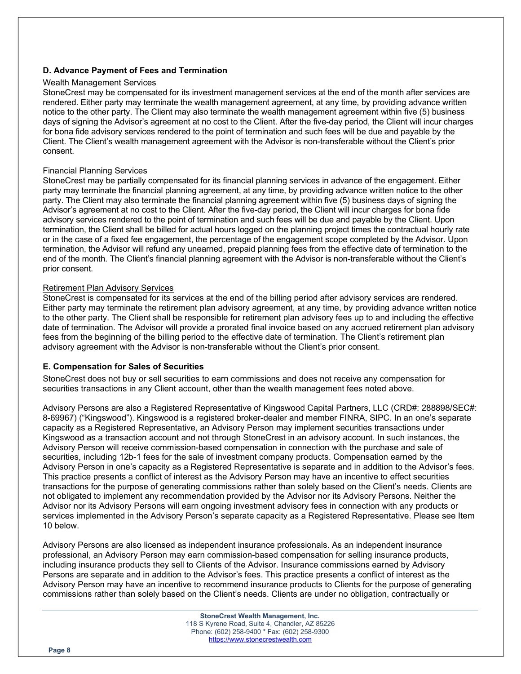# D. Advance Payment of Fees and Termination

#### Wealth Management Services

StoneCrest may be compensated for its investment management services at the end of the month after services are rendered. Either party may terminate the wealth management agreement, at any time, by providing advance written notice to the other party. The Client may also terminate the wealth management agreement within five (5) business days of signing the Advisor's agreement at no cost to the Client. After the five-day period, the Client will incur charges for bona fide advisory services rendered to the point of termination and such fees will be due and payable by the Client. The Client's wealth management agreement with the Advisor is non-transferable without the Client's prior consent.

#### Financial Planning Services

StoneCrest may be partially compensated for its financial planning services in advance of the engagement. Either party may terminate the financial planning agreement, at any time, by providing advance written notice to the other party. The Client may also terminate the financial planning agreement within five (5) business days of signing the Advisor's agreement at no cost to the Client. After the five-day period, the Client will incur charges for bona fide advisory services rendered to the point of termination and such fees will be due and payable by the Client. Upon termination, the Client shall be billed for actual hours logged on the planning project times the contractual hourly rate or in the case of a fixed fee engagement, the percentage of the engagement scope completed by the Advisor. Upon termination, the Advisor will refund any unearned, prepaid planning fees from the effective date of termination to the end of the month. The Client's financial planning agreement with the Advisor is non-transferable without the Client's prior consent.

# Retirement Plan Advisory Services

StoneCrest is compensated for its services at the end of the billing period after advisory services are rendered. Either party may terminate the retirement plan advisory agreement, at any time, by providing advance written notice to the other party. The Client shall be responsible for retirement plan advisory fees up to and including the effective date of termination. The Advisor will provide a prorated final invoice based on any accrued retirement plan advisory fees from the beginning of the billing period to the effective date of termination. The Client's retirement plan advisory agreement with the Advisor is non-transferable without the Client's prior consent.

# E. Compensation for Sales of Securities

StoneCrest does not buy or sell securities to earn commissions and does not receive any compensation for securities transactions in any Client account, other than the wealth management fees noted above.

Advisory Persons are also a Registered Representative of Kingswood Capital Partners, LLC (CRD#: 288898/SEC#: 8-69967) ("Kingswood"). Kingswood is a registered broker-dealer and member FINRA, SIPC. In an one's separate capacity as a Registered Representative, an Advisory Person may implement securities transactions under Kingswood as a transaction account and not through StoneCrest in an advisory account. In such instances, the Advisory Person will receive commission-based compensation in connection with the purchase and sale of securities, including 12b-1 fees for the sale of investment company products. Compensation earned by the Advisory Person in one's capacity as a Registered Representative is separate and in addition to the Advisor's fees. This practice presents a conflict of interest as the Advisory Person may have an incentive to effect securities transactions for the purpose of generating commissions rather than solely based on the Client's needs. Clients are not obligated to implement any recommendation provided by the Advisor nor its Advisory Persons. Neither the Advisor nor its Advisory Persons will earn ongoing investment advisory fees in connection with any products or services implemented in the Advisory Person's separate capacity as a Registered Representative. Please see Item 10 below.

Advisory Persons are also licensed as independent insurance professionals. As an independent insurance professional, an Advisory Person may earn commission-based compensation for selling insurance products, including insurance products they sell to Clients of the Advisor. Insurance commissions earned by Advisory Persons are separate and in addition to the Advisor's fees. This practice presents a conflict of interest as the Advisory Person may have an incentive to recommend insurance products to Clients for the purpose of generating commissions rather than solely based on the Client's needs. Clients are under no obligation, contractually or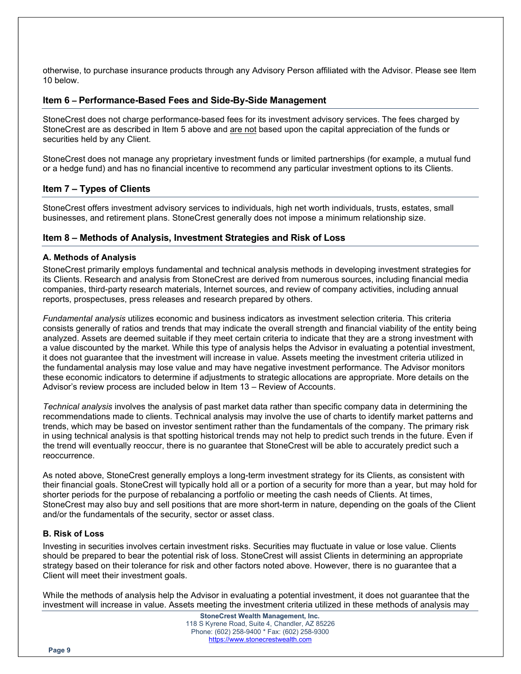otherwise, to purchase insurance products through any Advisory Person affiliated with the Advisor. Please see Item 10 below.

### Item 6 – Performance-Based Fees and Side-By-Side Management

StoneCrest does not charge performance-based fees for its investment advisory services. The fees charged by StoneCrest are as described in Item 5 above and are not based upon the capital appreciation of the funds or securities held by any Client.

StoneCrest does not manage any proprietary investment funds or limited partnerships (for example, a mutual fund or a hedge fund) and has no financial incentive to recommend any particular investment options to its Clients.

# Item 7 – Types of Clients

StoneCrest offers investment advisory services to individuals, high net worth individuals, trusts, estates, small businesses, and retirement plans. StoneCrest generally does not impose a minimum relationship size.

#### Item 8 – Methods of Analysis, Investment Strategies and Risk of Loss

#### A. Methods of Analysis

StoneCrest primarily employs fundamental and technical analysis methods in developing investment strategies for its Clients. Research and analysis from StoneCrest are derived from numerous sources, including financial media companies, third-party research materials, Internet sources, and review of company activities, including annual reports, prospectuses, press releases and research prepared by others.

Fundamental analysis utilizes economic and business indicators as investment selection criteria. This criteria consists generally of ratios and trends that may indicate the overall strength and financial viability of the entity being analyzed. Assets are deemed suitable if they meet certain criteria to indicate that they are a strong investment with a value discounted by the market. While this type of analysis helps the Advisor in evaluating a potential investment, it does not guarantee that the investment will increase in value. Assets meeting the investment criteria utilized in the fundamental analysis may lose value and may have negative investment performance. The Advisor monitors these economic indicators to determine if adjustments to strategic allocations are appropriate. More details on the Advisor's review process are included below in Item 13 – Review of Accounts.

Technical analysis involves the analysis of past market data rather than specific company data in determining the recommendations made to clients. Technical analysis may involve the use of charts to identify market patterns and trends, which may be based on investor sentiment rather than the fundamentals of the company. The primary risk in using technical analysis is that spotting historical trends may not help to predict such trends in the future. Even if the trend will eventually reoccur, there is no guarantee that StoneCrest will be able to accurately predict such a reoccurrence.

As noted above, StoneCrest generally employs a long-term investment strategy for its Clients, as consistent with their financial goals. StoneCrest will typically hold all or a portion of a security for more than a year, but may hold for shorter periods for the purpose of rebalancing a portfolio or meeting the cash needs of Clients. At times, StoneCrest may also buy and sell positions that are more short-term in nature, depending on the goals of the Client and/or the fundamentals of the security, sector or asset class.

#### B. Risk of Loss

Investing in securities involves certain investment risks. Securities may fluctuate in value or lose value. Clients should be prepared to bear the potential risk of loss. StoneCrest will assist Clients in determining an appropriate strategy based on their tolerance for risk and other factors noted above. However, there is no guarantee that a Client will meet their investment goals.

While the methods of analysis help the Advisor in evaluating a potential investment, it does not guarantee that the investment will increase in value. Assets meeting the investment criteria utilized in these methods of analysis may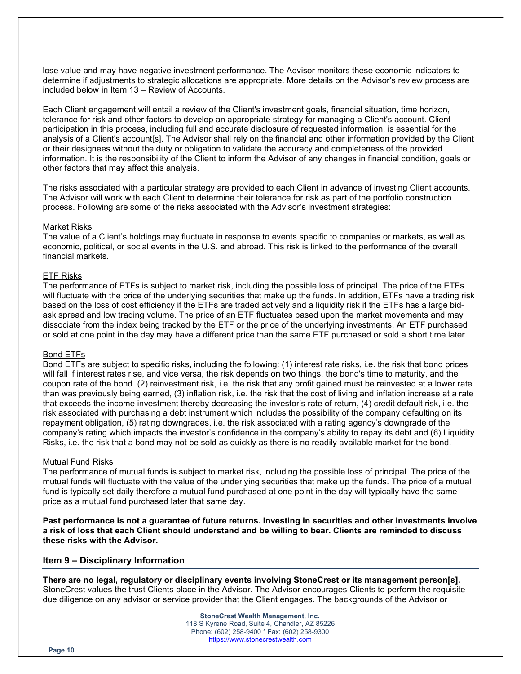lose value and may have negative investment performance. The Advisor monitors these economic indicators to determine if adjustments to strategic allocations are appropriate. More details on the Advisor's review process are included below in Item 13 – Review of Accounts.

Each Client engagement will entail a review of the Client's investment goals, financial situation, time horizon, tolerance for risk and other factors to develop an appropriate strategy for managing a Client's account. Client participation in this process, including full and accurate disclosure of requested information, is essential for the analysis of a Client's account[s]. The Advisor shall rely on the financial and other information provided by the Client or their designees without the duty or obligation to validate the accuracy and completeness of the provided information. It is the responsibility of the Client to inform the Advisor of any changes in financial condition, goals or other factors that may affect this analysis.

The risks associated with a particular strategy are provided to each Client in advance of investing Client accounts. The Advisor will work with each Client to determine their tolerance for risk as part of the portfolio construction process. Following are some of the risks associated with the Advisor's investment strategies:

#### Market Risks

The value of a Client's holdings may fluctuate in response to events specific to companies or markets, as well as economic, political, or social events in the U.S. and abroad. This risk is linked to the performance of the overall financial markets.

#### ETF Risks

The performance of ETFs is subject to market risk, including the possible loss of principal. The price of the ETFs will fluctuate with the price of the underlying securities that make up the funds. In addition, ETFs have a trading risk based on the loss of cost efficiency if the ETFs are traded actively and a liquidity risk if the ETFs has a large bidask spread and low trading volume. The price of an ETF fluctuates based upon the market movements and may dissociate from the index being tracked by the ETF or the price of the underlying investments. An ETF purchased or sold at one point in the day may have a different price than the same ETF purchased or sold a short time later.

#### Bond ETFs

Bond ETFs are subject to specific risks, including the following: (1) interest rate risks, i.e. the risk that bond prices will fall if interest rates rise, and vice versa, the risk depends on two things, the bond's time to maturity, and the coupon rate of the bond. (2) reinvestment risk, i.e. the risk that any profit gained must be reinvested at a lower rate than was previously being earned, (3) inflation risk, i.e. the risk that the cost of living and inflation increase at a rate that exceeds the income investment thereby decreasing the investor's rate of return, (4) credit default risk, i.e. the risk associated with purchasing a debt instrument which includes the possibility of the company defaulting on its repayment obligation, (5) rating downgrades, i.e. the risk associated with a rating agency's downgrade of the company's rating which impacts the investor's confidence in the company's ability to repay its debt and (6) Liquidity Risks, i.e. the risk that a bond may not be sold as quickly as there is no readily available market for the bond.

#### Mutual Fund Risks

The performance of mutual funds is subject to market risk, including the possible loss of principal. The price of the mutual funds will fluctuate with the value of the underlying securities that make up the funds. The price of a mutual fund is typically set daily therefore a mutual fund purchased at one point in the day will typically have the same price as a mutual fund purchased later that same day.

Past performance is not a guarantee of future returns. Investing in securities and other investments involve a risk of loss that each Client should understand and be willing to bear. Clients are reminded to discuss these risks with the Advisor.

#### Item 9 – Disciplinary Information

There are no legal, regulatory or disciplinary events involving StoneCrest or its management person[s]. StoneCrest values the trust Clients place in the Advisor. The Advisor encourages Clients to perform the requisite due diligence on any advisor or service provider that the Client engages. The backgrounds of the Advisor or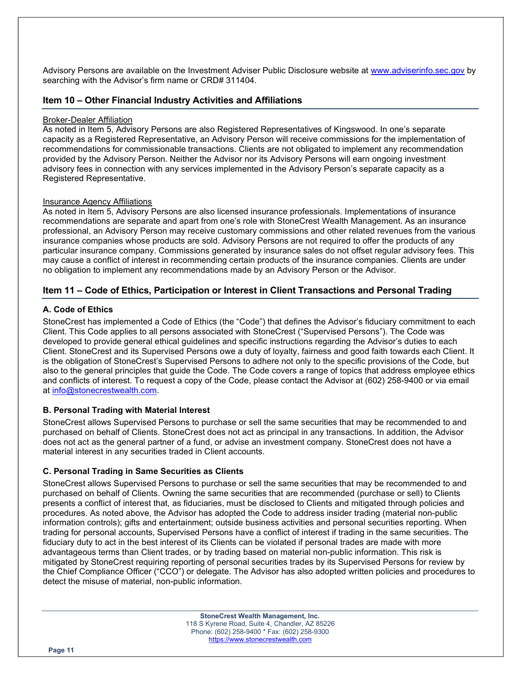Advisory Persons are available on the Investment Adviser Public Disclosure website at www.adviserinfo.sec.gov by searching with the Advisor's firm name or CRD# 311404.

# Item 10 – Other Financial Industry Activities and Affiliations

#### Broker-Dealer Affiliation

As noted in Item 5, Advisory Persons are also Registered Representatives of Kingswood. In one's separate capacity as a Registered Representative, an Advisory Person will receive commissions for the implementation of recommendations for commissionable transactions. Clients are not obligated to implement any recommendation provided by the Advisory Person. Neither the Advisor nor its Advisory Persons will earn ongoing investment advisory fees in connection with any services implemented in the Advisory Person's separate capacity as a Registered Representative.

#### Insurance Agency Affiliations

As noted in Item 5, Advisory Persons are also licensed insurance professionals. Implementations of insurance recommendations are separate and apart from one's role with StoneCrest Wealth Management. As an insurance professional, an Advisory Person may receive customary commissions and other related revenues from the various insurance companies whose products are sold. Advisory Persons are not required to offer the products of any particular insurance company. Commissions generated by insurance sales do not offset regular advisory fees. This may cause a conflict of interest in recommending certain products of the insurance companies. Clients are under no obligation to implement any recommendations made by an Advisory Person or the Advisor.

# Item 11 – Code of Ethics, Participation or Interest in Client Transactions and Personal Trading

# A. Code of Ethics

StoneCrest has implemented a Code of Ethics (the "Code") that defines the Advisor's fiduciary commitment to each Client. This Code applies to all persons associated with StoneCrest ("Supervised Persons"). The Code was developed to provide general ethical guidelines and specific instructions regarding the Advisor's duties to each Client. StoneCrest and its Supervised Persons owe a duty of loyalty, fairness and good faith towards each Client. It is the obligation of StoneCrest's Supervised Persons to adhere not only to the specific provisions of the Code, but also to the general principles that guide the Code. The Code covers a range of topics that address employee ethics and conflicts of interest. To request a copy of the Code, please contact the Advisor at (602) 258-9400 or via email at info@stonecrestwealth.com.

# B. Personal Trading with Material Interest

StoneCrest allows Supervised Persons to purchase or sell the same securities that may be recommended to and purchased on behalf of Clients. StoneCrest does not act as principal in any transactions. In addition, the Advisor does not act as the general partner of a fund, or advise an investment company. StoneCrest does not have a material interest in any securities traded in Client accounts.

# C. Personal Trading in Same Securities as Clients

StoneCrest allows Supervised Persons to purchase or sell the same securities that may be recommended to and purchased on behalf of Clients. Owning the same securities that are recommended (purchase or sell) to Clients presents a conflict of interest that, as fiduciaries, must be disclosed to Clients and mitigated through policies and procedures. As noted above, the Advisor has adopted the Code to address insider trading (material non-public information controls); gifts and entertainment; outside business activities and personal securities reporting. When trading for personal accounts, Supervised Persons have a conflict of interest if trading in the same securities. The fiduciary duty to act in the best interest of its Clients can be violated if personal trades are made with more advantageous terms than Client trades, or by trading based on material non-public information. This risk is mitigated by StoneCrest requiring reporting of personal securities trades by its Supervised Persons for review by the Chief Compliance Officer ("CCO") or delegate. The Advisor has also adopted written policies and procedures to detect the misuse of material, non-public information.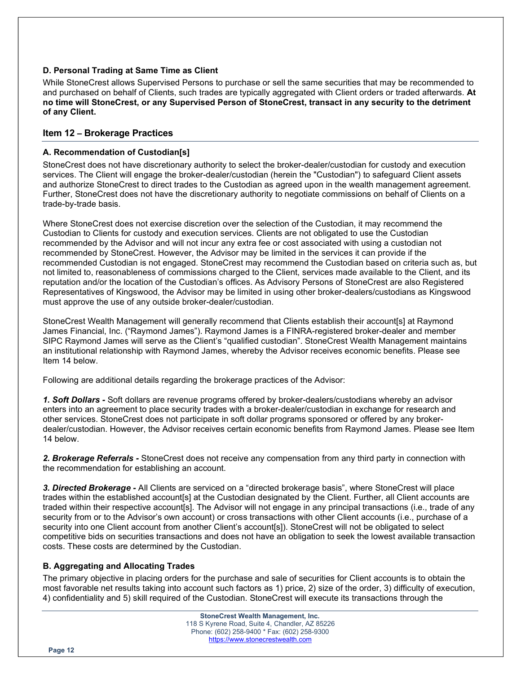# D. Personal Trading at Same Time as Client

While StoneCrest allows Supervised Persons to purchase or sell the same securities that may be recommended to and purchased on behalf of Clients, such trades are typically aggregated with Client orders or traded afterwards. At no time will StoneCrest, or any Supervised Person of StoneCrest, transact in any security to the detriment of any Client.

# Item 12 – Brokerage Practices

# A. Recommendation of Custodian[s]

StoneCrest does not have discretionary authority to select the broker-dealer/custodian for custody and execution services. The Client will engage the broker-dealer/custodian (herein the "Custodian") to safeguard Client assets and authorize StoneCrest to direct trades to the Custodian as agreed upon in the wealth management agreement. Further, StoneCrest does not have the discretionary authority to negotiate commissions on behalf of Clients on a trade-by-trade basis.

Where StoneCrest does not exercise discretion over the selection of the Custodian, it may recommend the Custodian to Clients for custody and execution services. Clients are not obligated to use the Custodian recommended by the Advisor and will not incur any extra fee or cost associated with using a custodian not recommended by StoneCrest. However, the Advisor may be limited in the services it can provide if the recommended Custodian is not engaged. StoneCrest may recommend the Custodian based on criteria such as, but not limited to, reasonableness of commissions charged to the Client, services made available to the Client, and its reputation and/or the location of the Custodian's offices. As Advisory Persons of StoneCrest are also Registered Representatives of Kingswood, the Advisor may be limited in using other broker-dealers/custodians as Kingswood must approve the use of any outside broker-dealer/custodian.

StoneCrest Wealth Management will generally recommend that Clients establish their account[s] at Raymond James Financial, Inc. ("Raymond James"). Raymond James is a FINRA-registered broker-dealer and member SIPC Raymond James will serve as the Client's "qualified custodian". StoneCrest Wealth Management maintains an institutional relationship with Raymond James, whereby the Advisor receives economic benefits. Please see Item 14 below.

Following are additional details regarding the brokerage practices of the Advisor:

1. Soft Dollars - Soft dollars are revenue programs offered by broker-dealers/custodians whereby an advisor enters into an agreement to place security trades with a broker-dealer/custodian in exchange for research and other services. StoneCrest does not participate in soft dollar programs sponsored or offered by any brokerdealer/custodian. However, the Advisor receives certain economic benefits from Raymond James. Please see Item 14 below.

2. Brokerage Referrals - StoneCrest does not receive any compensation from any third party in connection with the recommendation for establishing an account.

3. Directed Brokerage - All Clients are serviced on a "directed brokerage basis", where StoneCrest will place trades within the established account[s] at the Custodian designated by the Client. Further, all Client accounts are traded within their respective account[s]. The Advisor will not engage in any principal transactions (i.e., trade of any security from or to the Advisor's own account) or cross transactions with other Client accounts (i.e., purchase of a security into one Client account from another Client's account[s]). StoneCrest will not be obligated to select competitive bids on securities transactions and does not have an obligation to seek the lowest available transaction costs. These costs are determined by the Custodian.

# B. Aggregating and Allocating Trades

The primary objective in placing orders for the purchase and sale of securities for Client accounts is to obtain the most favorable net results taking into account such factors as 1) price, 2) size of the order, 3) difficulty of execution, 4) confidentiality and 5) skill required of the Custodian. StoneCrest will execute its transactions through the

Page 12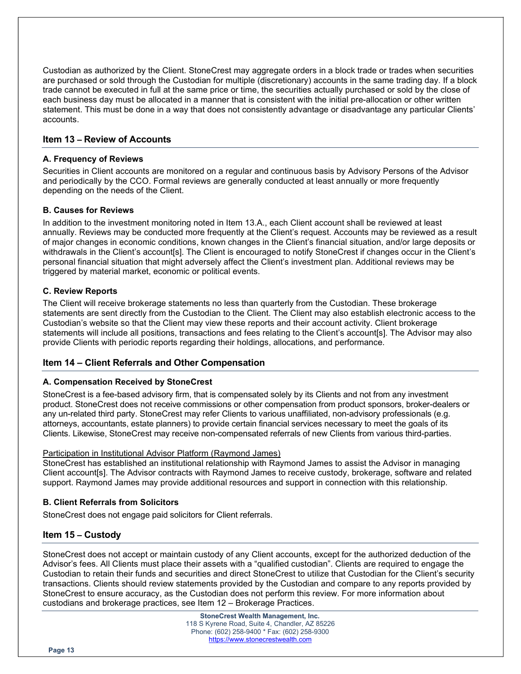Custodian as authorized by the Client. StoneCrest may aggregate orders in a block trade or trades when securities are purchased or sold through the Custodian for multiple (discretionary) accounts in the same trading day. If a block trade cannot be executed in full at the same price or time, the securities actually purchased or sold by the close of each business day must be allocated in a manner that is consistent with the initial pre-allocation or other written statement. This must be done in a way that does not consistently advantage or disadvantage any particular Clients' accounts.

# Item 13 – Review of Accounts

#### A. Frequency of Reviews

Securities in Client accounts are monitored on a regular and continuous basis by Advisory Persons of the Advisor and periodically by the CCO. Formal reviews are generally conducted at least annually or more frequently depending on the needs of the Client.

#### B. Causes for Reviews

In addition to the investment monitoring noted in Item 13.A., each Client account shall be reviewed at least annually. Reviews may be conducted more frequently at the Client's request. Accounts may be reviewed as a result of major changes in economic conditions, known changes in the Client's financial situation, and/or large deposits or withdrawals in the Client's account[s]. The Client is encouraged to notify StoneCrest if changes occur in the Client's personal financial situation that might adversely affect the Client's investment plan. Additional reviews may be triggered by material market, economic or political events.

#### C. Review Reports

The Client will receive brokerage statements no less than quarterly from the Custodian. These brokerage statements are sent directly from the Custodian to the Client. The Client may also establish electronic access to the Custodian's website so that the Client may view these reports and their account activity. Client brokerage statements will include all positions, transactions and fees relating to the Client's account[s]. The Advisor may also provide Clients with periodic reports regarding their holdings, allocations, and performance.

# Item 14 – Client Referrals and Other Compensation

#### A. Compensation Received by StoneCrest

StoneCrest is a fee-based advisory firm, that is compensated solely by its Clients and not from any investment product. StoneCrest does not receive commissions or other compensation from product sponsors, broker-dealers or any un-related third party. StoneCrest may refer Clients to various unaffiliated, non-advisory professionals (e.g. attorneys, accountants, estate planners) to provide certain financial services necessary to meet the goals of its Clients. Likewise, StoneCrest may receive non-compensated referrals of new Clients from various third-parties.

#### Participation in Institutional Advisor Platform (Raymond James)

StoneCrest has established an institutional relationship with Raymond James to assist the Advisor in managing Client account[s]. The Advisor contracts with Raymond James to receive custody, brokerage, software and related support. Raymond James may provide additional resources and support in connection with this relationship.

#### B. Client Referrals from Solicitors

StoneCrest does not engage paid solicitors for Client referrals.

# Item 15 – Custody

StoneCrest does not accept or maintain custody of any Client accounts, except for the authorized deduction of the Advisor's fees. All Clients must place their assets with a "qualified custodian". Clients are required to engage the Custodian to retain their funds and securities and direct StoneCrest to utilize that Custodian for the Client's security transactions. Clients should review statements provided by the Custodian and compare to any reports provided by StoneCrest to ensure accuracy, as the Custodian does not perform this review. For more information about custodians and brokerage practices, see Item 12 – Brokerage Practices.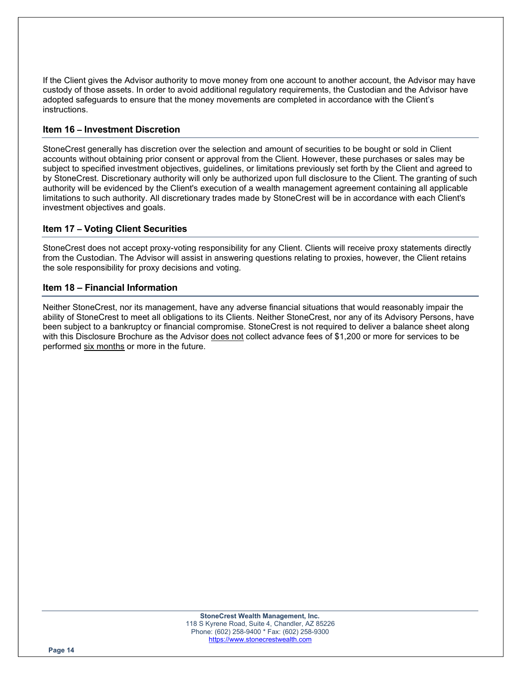If the Client gives the Advisor authority to move money from one account to another account, the Advisor may have custody of those assets. In order to avoid additional regulatory requirements, the Custodian and the Advisor have adopted safeguards to ensure that the money movements are completed in accordance with the Client's instructions.

# Item 16 – Investment Discretion

StoneCrest generally has discretion over the selection and amount of securities to be bought or sold in Client accounts without obtaining prior consent or approval from the Client. However, these purchases or sales may be subject to specified investment objectives, guidelines, or limitations previously set forth by the Client and agreed to by StoneCrest. Discretionary authority will only be authorized upon full disclosure to the Client. The granting of such authority will be evidenced by the Client's execution of a wealth management agreement containing all applicable limitations to such authority. All discretionary trades made by StoneCrest will be in accordance with each Client's investment objectives and goals.

# Item 17 – Voting Client Securities

StoneCrest does not accept proxy-voting responsibility for any Client. Clients will receive proxy statements directly from the Custodian. The Advisor will assist in answering questions relating to proxies, however, the Client retains the sole responsibility for proxy decisions and voting.

# Item 18 – Financial Information

Neither StoneCrest, nor its management, have any adverse financial situations that would reasonably impair the ability of StoneCrest to meet all obligations to its Clients. Neither StoneCrest, nor any of its Advisory Persons, have been subject to a bankruptcy or financial compromise. StoneCrest is not required to deliver a balance sheet along with this Disclosure Brochure as the Advisor does not collect advance fees of \$1,200 or more for services to be performed six months or more in the future.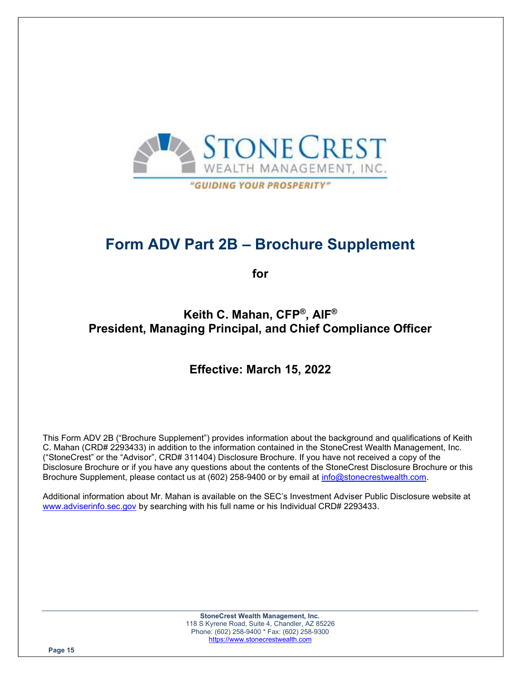

Form ADV Part 2B – Brochure Supplement

for

# Keith C. Mahan, CFP® , AIF® President, Managing Principal, and Chief Compliance Officer

# Effective: March 15, 2022

This Form ADV 2B ("Brochure Supplement") provides information about the background and qualifications of Keith C. Mahan (CRD# 2293433) in addition to the information contained in the StoneCrest Wealth Management, Inc. ("StoneCrest" or the "Advisor", CRD# 311404) Disclosure Brochure. If you have not received a copy of the Disclosure Brochure or if you have any questions about the contents of the StoneCrest Disclosure Brochure or this Brochure Supplement, please contact us at (602) 258-9400 or by email at info@stonecrestwealth.com.

Additional information about Mr. Mahan is available on the SEC's Investment Adviser Public Disclosure website at www.adviserinfo.sec.gov by searching with his full name or his Individual CRD# 2293433.

> StoneCrest Wealth Management, Inc. 118 S Kyrene Road, Suite 4, Chandler, AZ 85226 Phone: (602) 258-9400 \* Fax: (602) 258-9300 https://www.stonecrestwealth.com

Page 15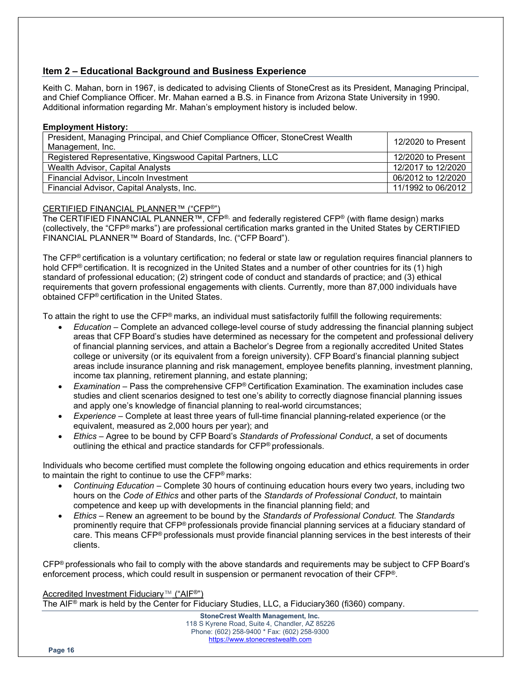# Item 2 – Educational Background and Business Experience

Keith C. Mahan, born in 1967, is dedicated to advising Clients of StoneCrest as its President, Managing Principal, and Chief Compliance Officer. Mr. Mahan earned a B.S. in Finance from Arizona State University in 1990. Additional information regarding Mr. Mahan's employment history is included below.

#### Employment History:

| President, Managing Principal, and Chief Compliance Officer, StoneCrest Wealth<br>Management, Inc. | 12/2020 to Present |
|----------------------------------------------------------------------------------------------------|--------------------|
| Registered Representative, Kingswood Capital Partners, LLC                                         | 12/2020 to Present |
| Wealth Advisor, Capital Analysts                                                                   | 12/2017 to 12/2020 |
| Financial Advisor, Lincoln Investment                                                              | 06/2012 to 12/2020 |
| Financial Advisor, Capital Analysts, Inc.                                                          | 11/1992 to 06/2012 |

# CERTIFIED FINANCIAL PLANNER™ ("CFP®")

The CERTIFIED FINANCIAL PLANNER™, CFP®, and federally registered CFP® (with flame design) marks (collectively, the "CFP® marks") are professional certification marks granted in the United States by CERTIFIED FINANCIAL PLANNER™ Board of Standards, Inc. ("CFP Board").

The CFP® certification is a voluntary certification; no federal or state law or regulation requires financial planners to hold CFP® certification. It is recognized in the United States and a number of other countries for its (1) high standard of professional education; (2) stringent code of conduct and standards of practice; and (3) ethical requirements that govern professional engagements with clients. Currently, more than 87,000 individuals have obtained CFP® certification in the United States.

To attain the right to use the CFP® marks, an individual must satisfactorily fulfill the following requirements:

- Education Complete an advanced college-level course of study addressing the financial planning subject areas that CFP Board's studies have determined as necessary for the competent and professional delivery of financial planning services, and attain a Bachelor's Degree from a regionally accredited United States college or university (or its equivalent from a foreign university). CFP Board's financial planning subject areas include insurance planning and risk management, employee benefits planning, investment planning, income tax planning, retirement planning, and estate planning;
- Examination Pass the comprehensive  $CFP^{\circ}$  Certification Examination. The examination includes case studies and client scenarios designed to test one's ability to correctly diagnose financial planning issues and apply one's knowledge of financial planning to real-world circumstances;
- Experience Complete at least three years of full-time financial planning-related experience (or the equivalent, measured as 2,000 hours per year); and
- Ethics Agree to be bound by CFP Board's Standards of Professional Conduct, a set of documents outlining the ethical and practice standards for CFP® professionals.

Individuals who become certified must complete the following ongoing education and ethics requirements in order to maintain the right to continue to use the CFP® marks:

- Continuing Education Complete 30 hours of continuing education hours every two years, including two hours on the Code of Ethics and other parts of the Standards of Professional Conduct, to maintain competence and keep up with developments in the financial planning field; and
- Ethics Renew an agreement to be bound by the Standards of Professional Conduct. The Standards prominently require that CFP® professionals provide financial planning services at a fiduciary standard of care. This means CFP® professionals must provide financial planning services in the best interests of their clients.

CFP® professionals who fail to comply with the above standards and requirements may be subject to CFP Board's enforcement process, which could result in suspension or permanent revocation of their CFP®.

# Accredited Investment Fiduciary<sup>™</sup> ("AIF<sup>®"</sup>)

The AIF® mark is held by the Center for Fiduciary Studies, LLC, a Fiduciary360 (fi360) company.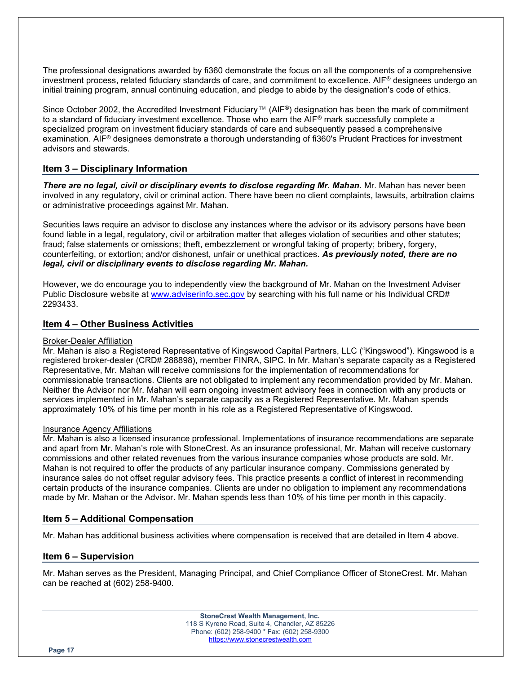The professional designations awarded by fi360 demonstrate the focus on all the components of a comprehensive investment process, related fiduciary standards of care, and commitment to excellence. AIF® designees undergo an initial training program, annual continuing education, and pledge to abide by the designation's code of ethics.

Since October 2002, the Accredited Investment Fiduciary™ (AIF®) designation has been the mark of commitment to a standard of fiduciary investment excellence. Those who earn the AIF® mark successfully complete a specialized program on investment fiduciary standards of care and subsequently passed a comprehensive examination. AIF® designees demonstrate a thorough understanding of fi360's Prudent Practices for investment advisors and stewards.

# Item 3 – Disciplinary Information

There are no legal, civil or disciplinary events to disclose regarding Mr. Mahan. Mr. Mahan has never been involved in any regulatory, civil or criminal action. There have been no client complaints, lawsuits, arbitration claims or administrative proceedings against Mr. Mahan.

Securities laws require an advisor to disclose any instances where the advisor or its advisory persons have been found liable in a legal, regulatory, civil or arbitration matter that alleges violation of securities and other statutes; fraud; false statements or omissions; theft, embezzlement or wrongful taking of property; bribery, forgery, counterfeiting, or extortion; and/or dishonest, unfair or unethical practices. As previously noted, there are no legal, civil or disciplinary events to disclose regarding Mr. Mahan.

However, we do encourage you to independently view the background of Mr. Mahan on the Investment Adviser Public Disclosure website at www.adviserinfo.sec.gov by searching with his full name or his Individual CRD# 2293433.

# Item 4 – Other Business Activities

#### Broker-Dealer Affiliation

Mr. Mahan is also a Registered Representative of Kingswood Capital Partners, LLC ("Kingswood"). Kingswood is a registered broker-dealer (CRD# 288898), member FINRA, SIPC. In Mr. Mahan's separate capacity as a Registered Representative, Mr. Mahan will receive commissions for the implementation of recommendations for commissionable transactions. Clients are not obligated to implement any recommendation provided by Mr. Mahan. Neither the Advisor nor Mr. Mahan will earn ongoing investment advisory fees in connection with any products or services implemented in Mr. Mahan's separate capacity as a Registered Representative. Mr. Mahan spends approximately 10% of his time per month in his role as a Registered Representative of Kingswood.

#### Insurance Agency Affiliations

Mr. Mahan is also a licensed insurance professional. Implementations of insurance recommendations are separate and apart from Mr. Mahan's role with StoneCrest. As an insurance professional, Mr. Mahan will receive customary commissions and other related revenues from the various insurance companies whose products are sold. Mr. Mahan is not required to offer the products of any particular insurance company. Commissions generated by insurance sales do not offset regular advisory fees. This practice presents a conflict of interest in recommending certain products of the insurance companies. Clients are under no obligation to implement any recommendations made by Mr. Mahan or the Advisor. Mr. Mahan spends less than 10% of his time per month in this capacity.

# Item 5 – Additional Compensation

Mr. Mahan has additional business activities where compensation is received that are detailed in Item 4 above.

# Item 6 – Supervision

Mr. Mahan serves as the President, Managing Principal, and Chief Compliance Officer of StoneCrest. Mr. Mahan can be reached at (602) 258-9400.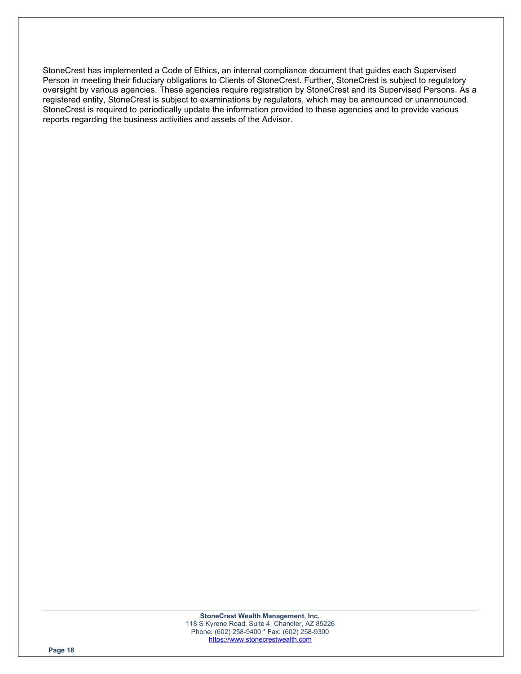StoneCrest has implemented a Code of Ethics, an internal compliance document that guides each Supervised Person in meeting their fiduciary obligations to Clients of StoneCrest. Further, StoneCrest is subject to regulatory oversight by various agencies. These agencies require registration by StoneCrest and its Supervised Persons. As a registered entity, StoneCrest is subject to examinations by regulators, which may be announced or unannounced. StoneCrest is required to periodically update the information provided to these agencies and to provide various reports regarding the business activities and assets of the Advisor.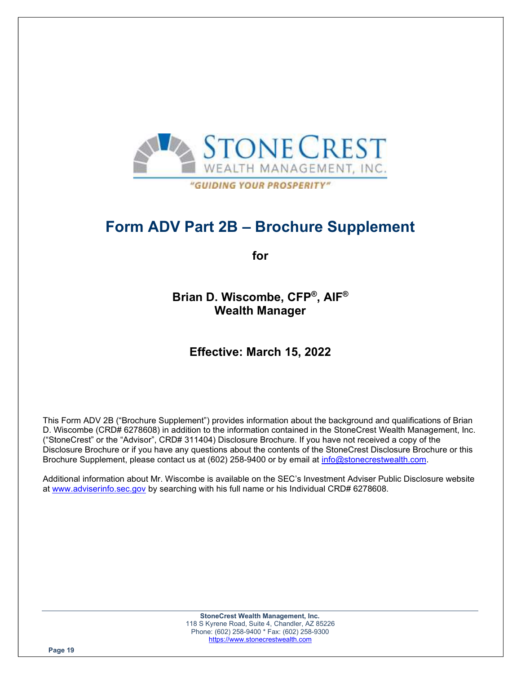

# Form ADV Part 2B – Brochure Supplement

for

Brian D. Wiscombe, CFP® , AIF® Wealth Manager

# Effective: March 15, 2022

This Form ADV 2B ("Brochure Supplement") provides information about the background and qualifications of Brian D. Wiscombe (CRD# 6278608) in addition to the information contained in the StoneCrest Wealth Management, Inc. ("StoneCrest" or the "Advisor", CRD# 311404) Disclosure Brochure. If you have not received a copy of the Disclosure Brochure or if you have any questions about the contents of the StoneCrest Disclosure Brochure or this Brochure Supplement, please contact us at (602) 258-9400 or by email at info@stonecrestwealth.com.

Additional information about Mr. Wiscombe is available on the SEC's Investment Adviser Public Disclosure website at www.adviserinfo.sec.gov by searching with his full name or his Individual CRD# 6278608.

> StoneCrest Wealth Management, Inc. 118 S Kyrene Road, Suite 4, Chandler, AZ 85226 Phone: (602) 258-9400 \* Fax: (602) 258-9300 https://www.stonecrestwealth.com

Page 19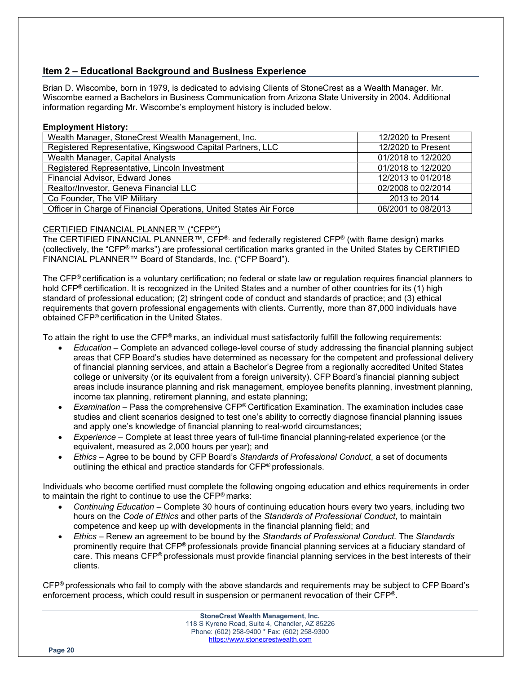# Item 2 – Educational Background and Business Experience

Brian D. Wiscombe, born in 1979, is dedicated to advising Clients of StoneCrest as a Wealth Manager. Mr. Wiscombe earned a Bachelors in Business Communication from Arizona State University in 2004. Additional information regarding Mr. Wiscombe's employment history is included below.

#### Employment History:

| Wealth Manager, StoneCrest Wealth Management, Inc.                 | 12/2020 to Present |
|--------------------------------------------------------------------|--------------------|
| Registered Representative, Kingswood Capital Partners, LLC         | 12/2020 to Present |
| Wealth Manager, Capital Analysts                                   | 01/2018 to 12/2020 |
| Registered Representative, Lincoln Investment                      | 01/2018 to 12/2020 |
| Financial Advisor, Edward Jones                                    | 12/2013 to 01/2018 |
| Realtor/Investor, Geneva Financial LLC                             | 02/2008 to 02/2014 |
| Co Founder, The VIP Military                                       | 2013 to 2014       |
| Officer in Charge of Financial Operations, United States Air Force | 06/2001 to 08/2013 |

# CERTIFIED FINANCIAL PLANNER™ ("CFP®")

The CERTIFIED FINANCIAL PLANNER™, CFP®, and federally registered CFP® (with flame design) marks (collectively, the "CFP® marks") are professional certification marks granted in the United States by CERTIFIED FINANCIAL PLANNER™ Board of Standards, Inc. ("CFP Board").

The CFP® certification is a voluntary certification; no federal or state law or regulation requires financial planners to hold CFP® certification. It is recognized in the United States and a number of other countries for its (1) high standard of professional education; (2) stringent code of conduct and standards of practice; and (3) ethical requirements that govern professional engagements with clients. Currently, more than 87,000 individuals have obtained CFP® certification in the United States.

To attain the right to use the CFP® marks, an individual must satisfactorily fulfill the following requirements:

- Education Complete an advanced college-level course of study addressing the financial planning subject areas that CFP Board's studies have determined as necessary for the competent and professional delivery of financial planning services, and attain a Bachelor's Degree from a regionally accredited United States college or university (or its equivalent from a foreign university). CFP Board's financial planning subject areas include insurance planning and risk management, employee benefits planning, investment planning, income tax planning, retirement planning, and estate planning;
- Examination Pass the comprehensive  $CFP^{\circ}$  Certification Examination. The examination includes case studies and client scenarios designed to test one's ability to correctly diagnose financial planning issues and apply one's knowledge of financial planning to real-world circumstances;
- Experience Complete at least three years of full-time financial planning-related experience (or the equivalent, measured as 2,000 hours per year); and
- Ethics Agree to be bound by CFP Board's Standards of Professional Conduct, a set of documents outlining the ethical and practice standards for CFP® professionals.

Individuals who become certified must complete the following ongoing education and ethics requirements in order to maintain the right to continue to use the CFP® marks:

- Continuing Education Complete 30 hours of continuing education hours every two years, including two hours on the Code of Ethics and other parts of the Standards of Professional Conduct, to maintain competence and keep up with developments in the financial planning field; and
- Ethics Renew an agreement to be bound by the Standards of Professional Conduct. The Standards prominently require that CFP® professionals provide financial planning services at a fiduciary standard of care. This means CFP® professionals must provide financial planning services in the best interests of their clients.

CFP® professionals who fail to comply with the above standards and requirements may be subject to CFP Board's enforcement process, which could result in suspension or permanent revocation of their CFP®.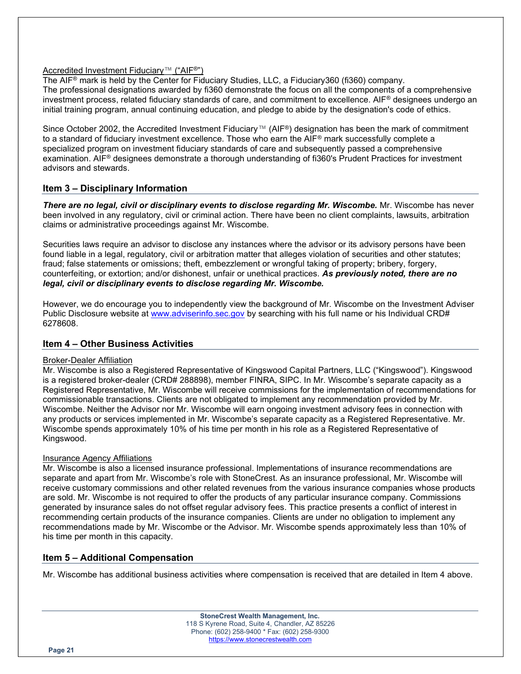# Accredited Investment Fiduciary™ ("AIF®")

The AIF® mark is held by the Center for Fiduciary Studies, LLC, a Fiduciary360 (fi360) company. The professional designations awarded by fi360 demonstrate the focus on all the components of a comprehensive investment process, related fiduciary standards of care, and commitment to excellence. AIF® designees undergo an initial training program, annual continuing education, and pledge to abide by the designation's code of ethics.

Since October 2002, the Accredited Investment Fiduciary™ (AIF®) designation has been the mark of commitment to a standard of fiduciary investment excellence. Those who earn the AIF® mark successfully complete a specialized program on investment fiduciary standards of care and subsequently passed a comprehensive examination. AIF® designees demonstrate a thorough understanding of fi360's Prudent Practices for investment advisors and stewards.

# Item 3 – Disciplinary Information

There are no legal, civil or disciplinary events to disclose regarding Mr. Wiscombe. Mr. Wiscombe has never been involved in any regulatory, civil or criminal action. There have been no client complaints, lawsuits, arbitration claims or administrative proceedings against Mr. Wiscombe.

Securities laws require an advisor to disclose any instances where the advisor or its advisory persons have been found liable in a legal, regulatory, civil or arbitration matter that alleges violation of securities and other statutes; fraud; false statements or omissions; theft, embezzlement or wrongful taking of property; bribery, forgery, counterfeiting, or extortion; and/or dishonest, unfair or unethical practices. As previously noted, there are no legal, civil or disciplinary events to disclose regarding Mr. Wiscombe.

However, we do encourage you to independently view the background of Mr. Wiscombe on the Investment Adviser Public Disclosure website at www.adviserinfo.sec.gov by searching with his full name or his Individual CRD# 6278608.

# Item 4 – Other Business Activities

#### Broker-Dealer Affiliation

Mr. Wiscombe is also a Registered Representative of Kingswood Capital Partners, LLC ("Kingswood"). Kingswood is a registered broker-dealer (CRD# 288898), member FINRA, SIPC. In Mr. Wiscombe's separate capacity as a Registered Representative, Mr. Wiscombe will receive commissions for the implementation of recommendations for commissionable transactions. Clients are not obligated to implement any recommendation provided by Mr. Wiscombe. Neither the Advisor nor Mr. Wiscombe will earn ongoing investment advisory fees in connection with any products or services implemented in Mr. Wiscombe's separate capacity as a Registered Representative. Mr. Wiscombe spends approximately 10% of his time per month in his role as a Registered Representative of Kingswood.

#### Insurance Agency Affiliations

Mr. Wiscombe is also a licensed insurance professional. Implementations of insurance recommendations are separate and apart from Mr. Wiscombe's role with StoneCrest. As an insurance professional, Mr. Wiscombe will receive customary commissions and other related revenues from the various insurance companies whose products are sold. Mr. Wiscombe is not required to offer the products of any particular insurance company. Commissions generated by insurance sales do not offset regular advisory fees. This practice presents a conflict of interest in recommending certain products of the insurance companies. Clients are under no obligation to implement any recommendations made by Mr. Wiscombe or the Advisor. Mr. Wiscombe spends approximately less than 10% of his time per month in this capacity.

# Item 5 – Additional Compensation

Mr. Wiscombe has additional business activities where compensation is received that are detailed in Item 4 above.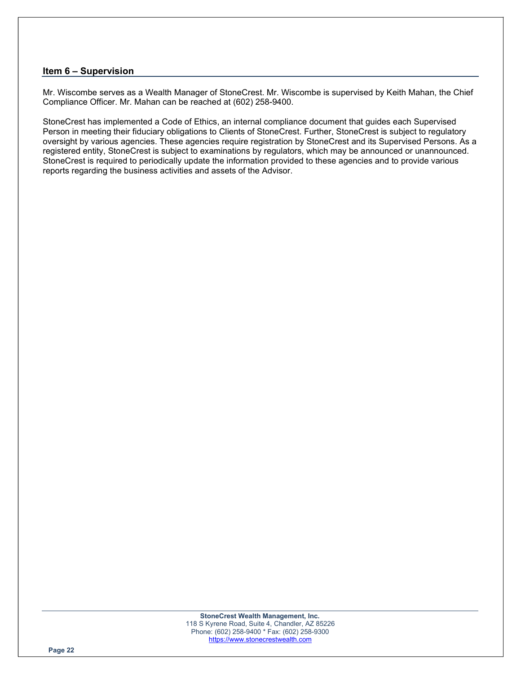# Item 6 – Supervision

Mr. Wiscombe serves as a Wealth Manager of StoneCrest. Mr. Wiscombe is supervised by Keith Mahan, the Chief Compliance Officer. Mr. Mahan can be reached at (602) 258-9400.

StoneCrest has implemented a Code of Ethics, an internal compliance document that guides each Supervised Person in meeting their fiduciary obligations to Clients of StoneCrest. Further, StoneCrest is subject to regulatory oversight by various agencies. These agencies require registration by StoneCrest and its Supervised Persons. As a registered entity, StoneCrest is subject to examinations by regulators, which may be announced or unannounced. StoneCrest is required to periodically update the information provided to these agencies and to provide various reports regarding the business activities and assets of the Advisor.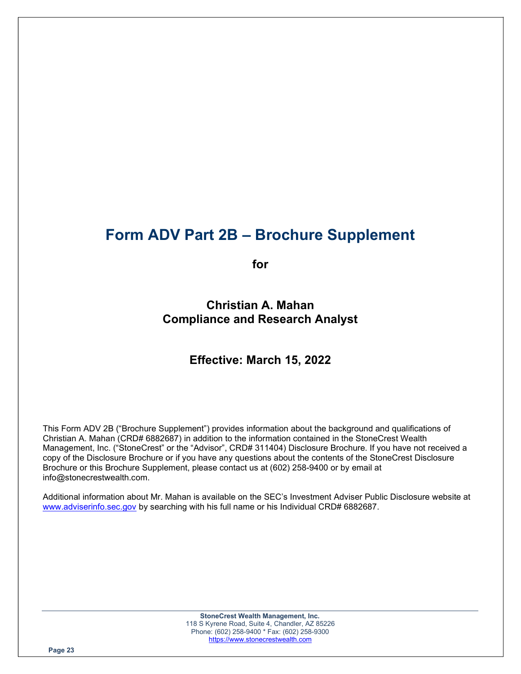# Form ADV Part 2B – Brochure Supplement

for

Christian A. Mahan Compliance and Research Analyst

# Effective: March 15, 2022

This Form ADV 2B ("Brochure Supplement") provides information about the background and qualifications of Christian A. Mahan (CRD# 6882687) in addition to the information contained in the StoneCrest Wealth Management, Inc. ("StoneCrest" or the "Advisor", CRD# 311404) Disclosure Brochure. If you have not received a copy of the Disclosure Brochure or if you have any questions about the contents of the StoneCrest Disclosure Brochure or this Brochure Supplement, please contact us at (602) 258-9400 or by email at info@stonecrestwealth.com.

Additional information about Mr. Mahan is available on the SEC's Investment Adviser Public Disclosure website at www.adviserinfo.sec.gov by searching with his full name or his Individual CRD# 6882687.

> StoneCrest Wealth Management, Inc. 118 S Kyrene Road, Suite 4, Chandler, AZ 85226 Phone: (602) 258-9400 \* Fax: (602) 258-9300 https://www.stonecrestwealth.com

Page 23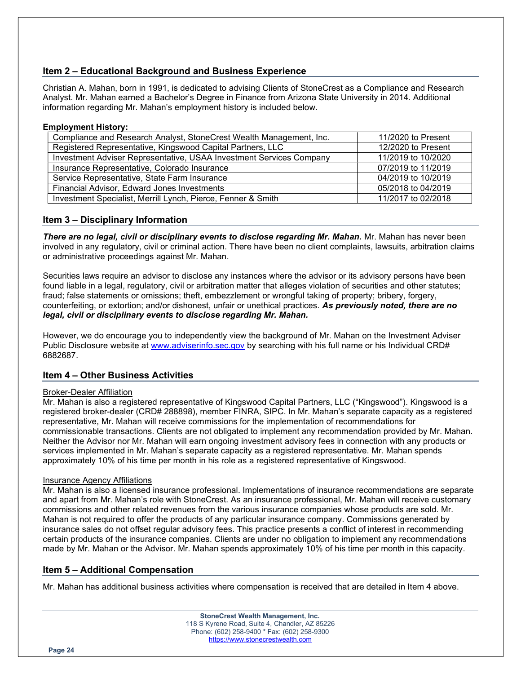# Item 2 – Educational Background and Business Experience

Christian A. Mahan, born in 1991, is dedicated to advising Clients of StoneCrest as a Compliance and Research Analyst. Mr. Mahan earned a Bachelor's Degree in Finance from Arizona State University in 2014. Additional information regarding Mr. Mahan's employment history is included below.

#### Employment History:

| Compliance and Research Analyst, StoneCrest Wealth Management, Inc. | 11/2020 to Present |
|---------------------------------------------------------------------|--------------------|
| Registered Representative, Kingswood Capital Partners, LLC          | 12/2020 to Present |
| Investment Adviser Representative, USAA Investment Services Company | 11/2019 to 10/2020 |
| Insurance Representative, Colorado Insurance                        | 07/2019 to 11/2019 |
| Service Representative, State Farm Insurance                        | 04/2019 to 10/2019 |
| Financial Advisor, Edward Jones Investments                         | 05/2018 to 04/2019 |
| Investment Specialist, Merrill Lynch, Pierce, Fenner & Smith        | 11/2017 to 02/2018 |

# Item 3 – Disciplinary Information

**There are no legal, civil or disciplinary events to disclose regarding Mr. Mahan.** Mr. Mahan has never been involved in any regulatory, civil or criminal action. There have been no client complaints, lawsuits, arbitration claims or administrative proceedings against Mr. Mahan.

Securities laws require an advisor to disclose any instances where the advisor or its advisory persons have been found liable in a legal, regulatory, civil or arbitration matter that alleges violation of securities and other statutes; fraud; false statements or omissions; theft, embezzlement or wrongful taking of property; bribery, forgery, counterfeiting, or extortion; and/or dishonest, unfair or unethical practices. As previously noted, there are no legal, civil or disciplinary events to disclose regarding Mr. Mahan.

However, we do encourage you to independently view the background of Mr. Mahan on the Investment Adviser Public Disclosure website at www.adviserinfo.sec.gov by searching with his full name or his Individual CRD# 6882687.

# Item 4 – Other Business Activities

#### Broker-Dealer Affiliation

Mr. Mahan is also a registered representative of Kingswood Capital Partners, LLC ("Kingswood"). Kingswood is a registered broker-dealer (CRD# 288898), member FINRA, SIPC. In Mr. Mahan's separate capacity as a registered representative, Mr. Mahan will receive commissions for the implementation of recommendations for commissionable transactions. Clients are not obligated to implement any recommendation provided by Mr. Mahan. Neither the Advisor nor Mr. Mahan will earn ongoing investment advisory fees in connection with any products or services implemented in Mr. Mahan's separate capacity as a registered representative. Mr. Mahan spends approximately 10% of his time per month in his role as a registered representative of Kingswood.

#### Insurance Agency Affiliations

Mr. Mahan is also a licensed insurance professional. Implementations of insurance recommendations are separate and apart from Mr. Mahan's role with StoneCrest. As an insurance professional, Mr. Mahan will receive customary commissions and other related revenues from the various insurance companies whose products are sold. Mr. Mahan is not required to offer the products of any particular insurance company. Commissions generated by insurance sales do not offset regular advisory fees. This practice presents a conflict of interest in recommending certain products of the insurance companies. Clients are under no obligation to implement any recommendations made by Mr. Mahan or the Advisor. Mr. Mahan spends approximately 10% of his time per month in this capacity.

# Item 5 – Additional Compensation

Mr. Mahan has additional business activities where compensation is received that are detailed in Item 4 above.